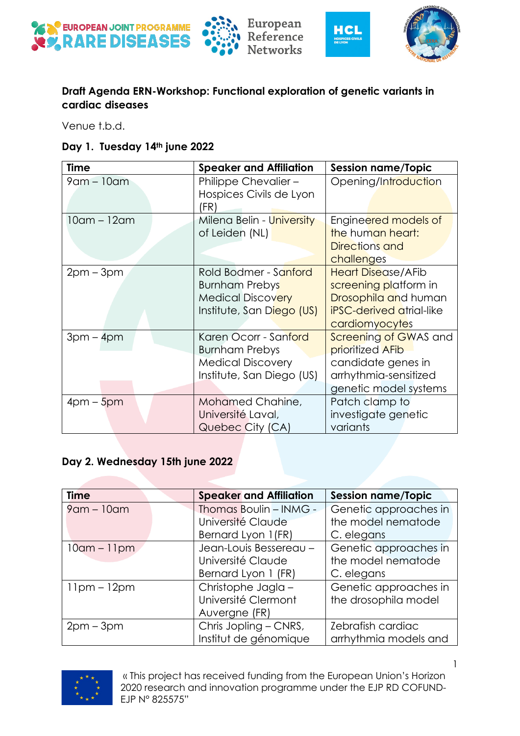







## **Draft Agenda ERN-Workshop: Functional exploration of genetic variants in cardiac diseases**

Venue t.b.d.

|  |  | Day 1. Tuesday 14th june 2022 |
|--|--|-------------------------------|
|--|--|-------------------------------|

| <b>Time</b>       | <b>Speaker and Affiliation</b>                                                                          | <b>Session name/Topic</b>                                                                                                       |
|-------------------|---------------------------------------------------------------------------------------------------------|---------------------------------------------------------------------------------------------------------------------------------|
| $9$ am – $10$ am  | Philippe Chevalier-<br>Hospices Civils de Lyon<br>(FR)                                                  | Opening/Introduction                                                                                                            |
| $10$ am – $12$ am | Milena Belin - University<br>of Leiden (NL)                                                             | Engineered models of<br>the human heart:<br>Directions and<br>challenges                                                        |
| $2pm-3pm$         | Rold Bodmer - Sanford<br><b>Burnham Prebys</b><br><b>Medical Discovery</b><br>Institute, San Diego (US) | <b>Heart Disease/AFib</b><br>screening platform in<br>Drosophila and human<br><b>iPSC-derived atrial-like</b><br>cardiomyocytes |
| $3pm - 4pm$       | Karen Ocorr - Sanford<br><b>Burnham Prebys</b><br><b>Medical Discovery</b><br>Institute, San Diego (US) | Screening of GWAS and<br>prioritized AFib<br>candidate genes in<br>arrhythmia-sensitized<br>genetic model systems               |
| $4$ pm – $5$ pm   | Mohamed Chahine,<br>Université Laval,<br>Quebec City (CA)                                               | Patch clamp to<br>investigate genetic<br>variants                                                                               |

## **Day 2. Wednesday 15th june 2022**

| <b>Time</b>    | <b>Speaker and Affiliation</b> | <b>Session name/Topic</b> |
|----------------|--------------------------------|---------------------------|
| 9 am - 10 am   | <b>Thomas Boulin - INMG -</b>  | Genetic approaches in     |
|                | Université Claude              | the model nematode        |
|                | Bernard Lyon 1(FR)             | C. elegans                |
| $10$ am – 11pm | Jean-Louis Bessereau -         | Genetic approaches in     |
|                | Université Claude              | the model nematode        |
|                | Bernard Lyon 1 (FR)            | C. elegans                |
| $11pm - 12pm$  | Christophe Jagla-              | Genetic approaches in     |
|                | Université Clermont            | the drosophila model      |
|                | Auvergne (FR)                  |                           |
| $2pm-3pm$      | Chris Jopling - CNRS,          | Zebrafish cardiac         |
|                | Institut de génomique          | arrhythmia models and     |



1